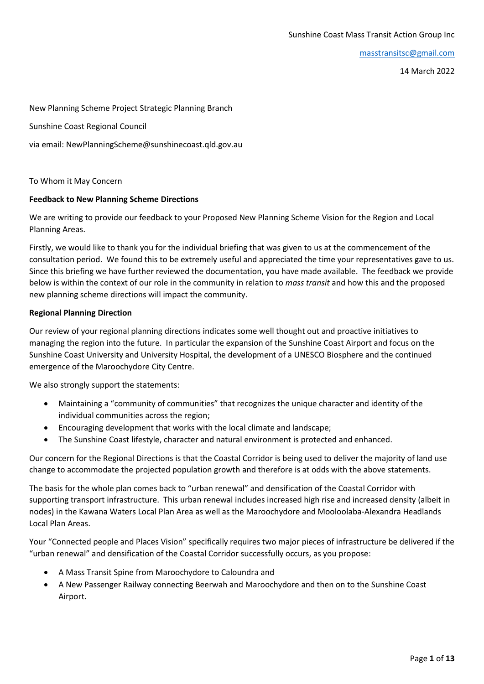[masstransitsc@gmail.com](mailto:masstransitsc@gmail.com)

14 March 2022

New Planning Scheme Project Strategic Planning Branch

Sunshine Coast Regional Council

via email: NewPlanningScheme@sunshinecoast.qld.gov.au

To Whom it May Concern

### **Feedback to New Planning Scheme Directions**

We are writing to provide our feedback to your Proposed New Planning Scheme Vision for the Region and Local Planning Areas.

Firstly, we would like to thank you for the individual briefing that was given to us at the commencement of the consultation period. We found this to be extremely useful and appreciated the time your representatives gave to us. Since this briefing we have further reviewed the documentation, you have made available. The feedback we provide below is within the context of our role in the community in relation to *mass transit* and how this and the proposed new planning scheme directions will impact the community.

### **Regional Planning Direction**

Our review of your regional planning directions indicates some well thought out and proactive initiatives to managing the region into the future. In particular the expansion of the Sunshine Coast Airport and focus on the Sunshine Coast University and University Hospital, the development of a UNESCO Biosphere and the continued emergence of the Maroochydore City Centre.

We also strongly support the statements:

- Maintaining a "community of communities" that recognizes the unique character and identity of the individual communities across the region;
- Encouraging development that works with the local climate and landscape;
- The Sunshine Coast lifestyle, character and natural environment is protected and enhanced.

Our concern for the Regional Directions is that the Coastal Corridor is being used to deliver the majority of land use change to accommodate the projected population growth and therefore is at odds with the above statements.

The basis for the whole plan comes back to "urban renewal" and densification of the Coastal Corridor with supporting transport infrastructure. This urban renewal includes increased high rise and increased density (albeit in nodes) in the Kawana Waters Local Plan Area as well as the Maroochydore and Mooloolaba-Alexandra Headlands Local Plan Areas.

Your "Connected people and Places Vision" specifically requires two major pieces of infrastructure be delivered if the "urban renewal" and densification of the Coastal Corridor successfully occurs, as you propose:

- A Mass Transit Spine from Maroochydore to Caloundra and
- A New Passenger Railway connecting Beerwah and Maroochydore and then on to the Sunshine Coast Airport.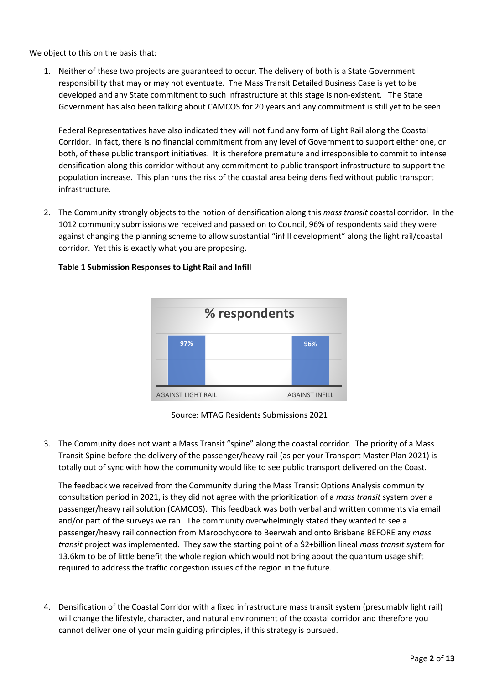We object to this on the basis that:

1. Neither of these two projects are guaranteed to occur. The delivery of both is a State Government responsibility that may or may not eventuate. The Mass Transit Detailed Business Case is yet to be developed and any State commitment to such infrastructure at this stage is non-existent. The State Government has also been talking about CAMCOS for 20 years and any commitment is still yet to be seen.

Federal Representatives have also indicated they will not fund any form of Light Rail along the Coastal Corridor. In fact, there is no financial commitment from any level of Government to support either one, or both, of these public transport initiatives. It is therefore premature and irresponsible to commit to intense densification along this corridor without any commitment to public transport infrastructure to support the population increase. This plan runs the risk of the coastal area being densified without public transport infrastructure.

2. The Community strongly objects to the notion of densification along this *mass transit* coastal corridor. In the 1012 community submissions we received and passed on to Council, 96% of respondents said they were against changing the planning scheme to allow substantial "infill development" along the light rail/coastal corridor. Yet this is exactly what you are proposing.



## **Table 1 Submission Responses to Light Rail and Infill**

Source: MTAG Residents Submissions 2021

3. The Community does not want a Mass Transit "spine" along the coastal corridor. The priority of a Mass Transit Spine before the delivery of the passenger/heavy rail (as per your Transport Master Plan 2021) is totally out of sync with how the community would like to see public transport delivered on the Coast.

The feedback we received from the Community during the Mass Transit Options Analysis community consultation period in 2021, is they did not agree with the prioritization of a *mass transit* system over a passenger/heavy rail solution (CAMCOS). This feedback was both verbal and written comments via email and/or part of the surveys we ran. The community overwhelmingly stated they wanted to see a passenger/heavy rail connection from Maroochydore to Beerwah and onto Brisbane BEFORE any *mass transit* project was implemented. They saw the starting point of a \$2+billion lineal *mass transit* system for 13.6km to be of little benefit the whole region which would not bring about the quantum usage shift required to address the traffic congestion issues of the region in the future.

4. Densification of the Coastal Corridor with a fixed infrastructure mass transit system (presumably light rail) will change the lifestyle, character, and natural environment of the coastal corridor and therefore you cannot deliver one of your main guiding principles, if this strategy is pursued.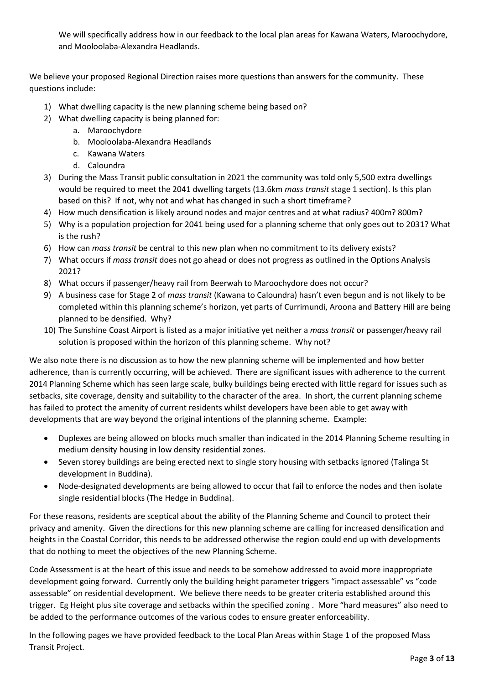We will specifically address how in our feedback to the local plan areas for Kawana Waters, Maroochydore, and Mooloolaba-Alexandra Headlands.

We believe your proposed Regional Direction raises more questions than answers for the community. These questions include:

- 1) What dwelling capacity is the new planning scheme being based on?
- 2) What dwelling capacity is being planned for:
	- a. Maroochydore
	- b. Mooloolaba-Alexandra Headlands
	- c. Kawana Waters
	- d. Caloundra
- 3) During the Mass Transit public consultation in 2021 the community was told only 5,500 extra dwellings would be required to meet the 2041 dwelling targets (13.6km *mass transit* stage 1 section). Is this plan based on this? If not, why not and what has changed in such a short timeframe?
- 4) How much densification is likely around nodes and major centres and at what radius? 400m? 800m?
- 5) Why is a population projection for 2041 being used for a planning scheme that only goes out to 2031? What is the rush?
- 6) How can *mass transit* be central to this new plan when no commitment to its delivery exists?
- 7) What occurs if *mass transit* does not go ahead or does not progress as outlined in the Options Analysis 2021?
- 8) What occurs if passenger/heavy rail from Beerwah to Maroochydore does not occur?
- 9) A business case for Stage 2 of *mass transit* (Kawana to Caloundra) hasn't even begun and is not likely to be completed within this planning scheme's horizon, yet parts of Currimundi, Aroona and Battery Hill are being planned to be densified. Why?
- 10) The Sunshine Coast Airport is listed as a major initiative yet neither a *mass transit* or passenger/heavy rail solution is proposed within the horizon of this planning scheme. Why not?

We also note there is no discussion as to how the new planning scheme will be implemented and how better adherence, than is currently occurring, will be achieved. There are significant issues with adherence to the current 2014 Planning Scheme which has seen large scale, bulky buildings being erected with little regard for issues such as setbacks, site coverage, density and suitability to the character of the area. In short, the current planning scheme has failed to protect the amenity of current residents whilst developers have been able to get away with developments that are way beyond the original intentions of the planning scheme. Example:

- Duplexes are being allowed on blocks much smaller than indicated in the 2014 Planning Scheme resulting in medium density housing in low density residential zones.
- Seven storey buildings are being erected next to single story housing with setbacks ignored (Talinga St development in Buddina).
- Node-designated developments are being allowed to occur that fail to enforce the nodes and then isolate single residential blocks (The Hedge in Buddina).

For these reasons, residents are sceptical about the ability of the Planning Scheme and Council to protect their privacy and amenity. Given the directions for this new planning scheme are calling for increased densification and heights in the Coastal Corridor, this needs to be addressed otherwise the region could end up with developments that do nothing to meet the objectives of the new Planning Scheme.

Code Assessment is at the heart of this issue and needs to be somehow addressed to avoid more inappropriate development going forward. Currently only the building height parameter triggers "impact assessable" vs "code assessable" on residential development. We believe there needs to be greater criteria established around this trigger. Eg Height plus site coverage and setbacks within the specified zoning . More "hard measures" also need to be added to the performance outcomes of the various codes to ensure greater enforceability.

In the following pages we have provided feedback to the Local Plan Areas within Stage 1 of the proposed Mass Transit Project.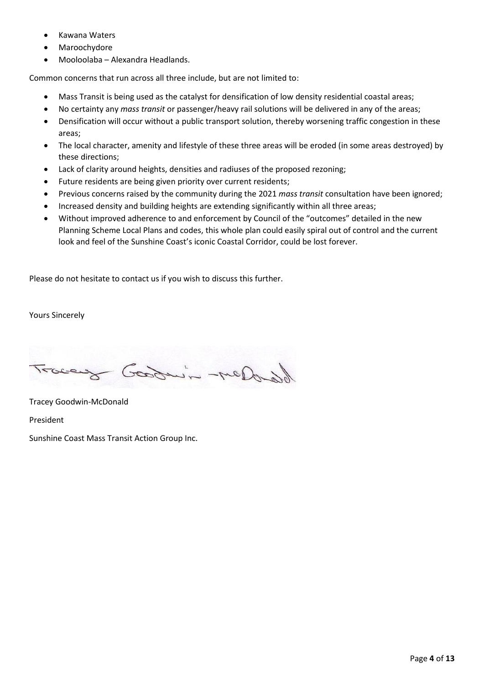- Kawana Waters
- **Maroochydore**
- Mooloolaba Alexandra Headlands.

Common concerns that run across all three include, but are not limited to:

- Mass Transit is being used as the catalyst for densification of low density residential coastal areas;
- No certainty any *mass transit* or passenger/heavy rail solutions will be delivered in any of the areas;
- Densification will occur without a public transport solution, thereby worsening traffic congestion in these areas;
- The local character, amenity and lifestyle of these three areas will be eroded (in some areas destroyed) by these directions;
- Lack of clarity around heights, densities and radiuses of the proposed rezoning;
- Future residents are being given priority over current residents;
- Previous concerns raised by the community during the 2021 *mass transit* consultation have been ignored;
- Increased density and building heights are extending significantly within all three areas;
- Without improved adherence to and enforcement by Council of the "outcomes" detailed in the new Planning Scheme Local Plans and codes, this whole plan could easily spiral out of control and the current look and feel of the Sunshine Coast's iconic Coastal Corridor, could be lost forever.

Please do not hesitate to contact us if you wish to discuss this further.

Yours Sincerely

Goodwin-mess:

Tracey Goodwin-McDonald

President

Sunshine Coast Mass Transit Action Group Inc.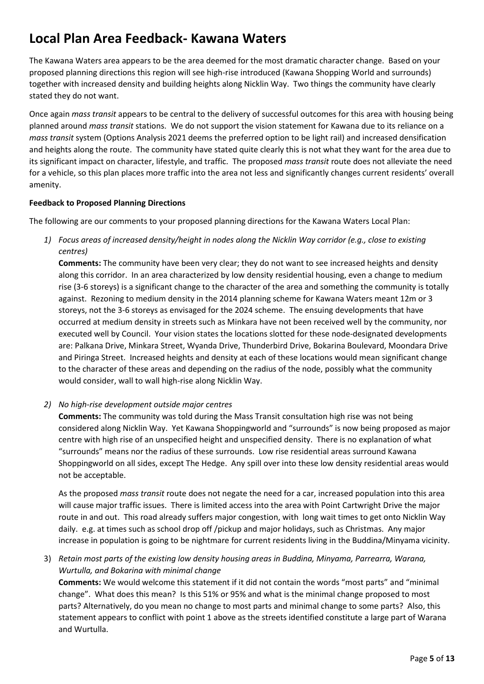# **Local Plan Area Feedback- Kawana Waters**

The Kawana Waters area appears to be the area deemed for the most dramatic character change. Based on your proposed planning directions this region will see high-rise introduced (Kawana Shopping World and surrounds) together with increased density and building heights along Nicklin Way. Two things the community have clearly stated they do not want.

Once again *mass transit* appears to be central to the delivery of successful outcomes for this area with housing being planned around *mass transit* stations. We do not support the vision statement for Kawana due to its reliance on a *mass transit* system (Options Analysis 2021 deems the preferred option to be light rail) and increased densification and heights along the route. The community have stated quite clearly this is not what they want for the area due to its significant impact on character, lifestyle, and traffic. The proposed *mass transit* route does not alleviate the need for a vehicle, so this plan places more traffic into the area not less and significantly changes current residents' overall amenity.

### **Feedback to Proposed Planning Directions**

The following are our comments to your proposed planning directions for the Kawana Waters Local Plan:

*1) Focus areas of increased density/height in nodes along the Nicklin Way corridor (e.g., close to existing centres)*

**Comments:** The community have been very clear; they do not want to see increased heights and density along this corridor. In an area characterized by low density residential housing, even a change to medium rise (3-6 storeys) is a significant change to the character of the area and something the community is totally against. Rezoning to medium density in the 2014 planning scheme for Kawana Waters meant 12m or 3 storeys, not the 3-6 storeys as envisaged for the 2024 scheme. The ensuing developments that have occurred at medium density in streets such as Minkara have not been received well by the community, nor executed well by Council. Your vision states the locations slotted for these node-designated developments are: Palkana Drive, Minkara Street, Wyanda Drive, Thunderbird Drive, Bokarina Boulevard, Moondara Drive and Piringa Street. Increased heights and density at each of these locations would mean significant change to the character of these areas and depending on the radius of the node, possibly what the community would consider, wall to wall high-rise along Nicklin Way.

*2) No high-rise development outside major centres*

**Comments:** The community was told during the Mass Transit consultation high rise was not being considered along Nicklin Way. Yet Kawana Shoppingworld and "surrounds" is now being proposed as major centre with high rise of an unspecified height and unspecified density. There is no explanation of what "surrounds" means nor the radius of these surrounds. Low rise residential areas surround Kawana Shoppingworld on all sides, except The Hedge. Any spill over into these low density residential areas would not be acceptable.

As the proposed *mass transit* route does not negate the need for a car, increased population into this area will cause major traffic issues. There is limited access into the area with Point Cartwright Drive the major route in and out. This road already suffers major congestion, with long wait times to get onto Nicklin Way daily. e.g. at times such as school drop off /pickup and major holidays, such as Christmas. Any major increase in population is going to be nightmare for current residents living in the Buddina/Minyama vicinity.

3) *Retain most parts of the existing low density housing areas in Buddina, Minyama, Parrearra, Warana, Wurtulla, and Bokarina with minimal change*

**Comments:** We would welcome this statement if it did not contain the words "most parts" and "minimal change". What does this mean? Is this 51% or 95% and what is the minimal change proposed to most parts? Alternatively, do you mean no change to most parts and minimal change to some parts? Also, this statement appears to conflict with point 1 above as the streets identified constitute a large part of Warana and Wurtulla.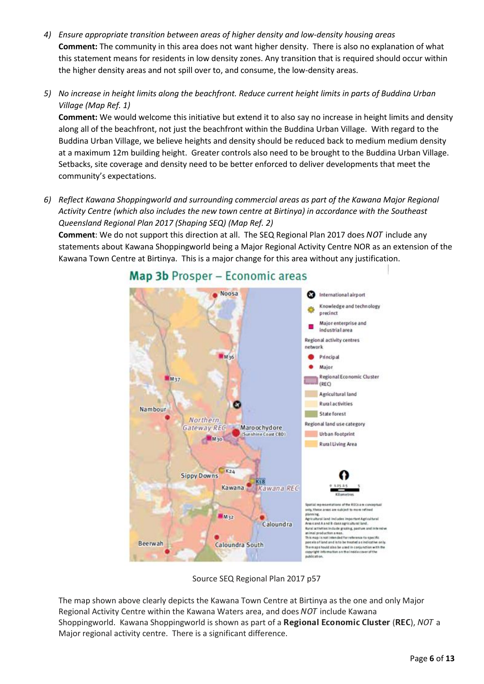- *4) Ensure appropriate transition between areas of higher density and low-density housing areas* **Comment:** The community in this area does not want higher density. There is also no explanation of what this statement means for residents in low density zones. Any transition that is required should occur within the higher density areas and not spill over to, and consume, the low-density areas.
- *5) No increase in height limits along the beachfront. Reduce current height limits in parts of Buddina Urban Village (Map Ref. 1)*

**Comment:** We would welcome this initiative but extend it to also say no increase in height limits and density along all of the beachfront, not just the beachfront within the Buddina Urban Village. With regard to the Buddina Urban Village, we believe heights and density should be reduced back to medium medium density at a maximum 12m building height. Greater controls also need to be brought to the Buddina Urban Village. Setbacks, site coverage and density need to be better enforced to deliver developments that meet the community's expectations.

*6) Reflect Kawana Shoppingworld and surrounding commercial areas as part of the Kawana Major Regional Activity Centre (which also includes the new town centre at Birtinya) in accordance with the Southeast Queensland Regional Plan 2017 (Shaping SEQ) (Map Ref. 2)*

**Comment**: We do not support this direction at all. The SEQ Regional Plan 2017 does NOT include any statements about Kawana Shoppingworld being a Major Regional Activity Centre NOR as an extension of the Kawana Town Centre at Birtinya. This is a major change for this area without any justification.



## Map 3b Prosper - Economic areas

Source SEQ Regional Plan 2017 p57

The map shown above clearly depicts the Kawana Town Centre at Birtinya as the one and only Major Regional Activity Centre within the Kawana Waters area, and does NOT include Kawana Shoppingworld. Kawana Shoppingworld is shown as part of a Regional Economic Cluster (REC), NOT a Major regional activity centre. There is a significant difference.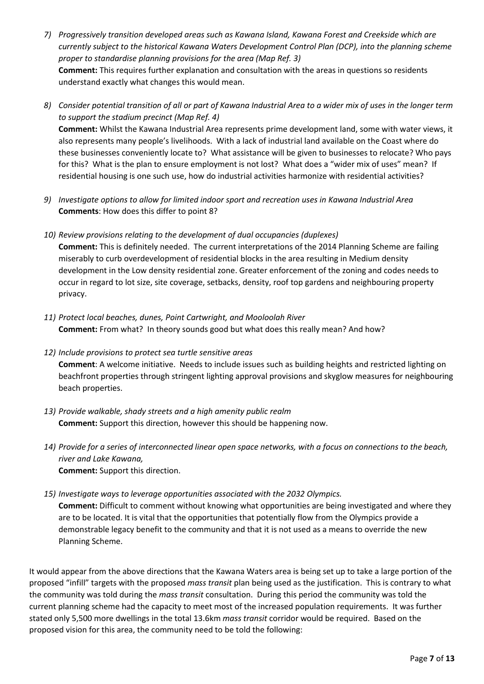- *7) Progressively transition developed areas such as Kawana Island, Kawana Forest and Creekside which are currently subject to the historical Kawana Waters Development Control Plan (DCP), into the planning scheme proper to standardise planning provisions for the area (Map Ref. 3)* **Comment:** This requires further explanation and consultation with the areas in questions so residents understand exactly what changes this would mean.
- *8) Consider potential transition of all or part of Kawana Industrial Area to a wider mix of uses in the longer term to support the stadium precinct (Map Ref. 4)*

**Comment:** Whilst the Kawana Industrial Area represents prime development land, some with water views, it also represents many people's livelihoods. With a lack of industrial land available on the Coast where do these businesses conveniently locate to? What assistance will be given to businesses to relocate? Who pays for this? What is the plan to ensure employment is not lost? What does a "wider mix of uses" mean? If residential housing is one such use, how do industrial activities harmonize with residential activities?

- *9) Investigate options to allow for limited indoor sport and recreation uses in Kawana Industrial Area* **Comments**: How does this differ to point 8?
- *10) Review provisions relating to the development of dual occupancies (duplexes)* **Comment:** This is definitely needed. The current interpretations of the 2014 Planning Scheme are failing miserably to curb overdevelopment of residential blocks in the area resulting in Medium density development in the Low density residential zone. Greater enforcement of the zoning and codes needs to occur in regard to lot size, site coverage, setbacks, density, roof top gardens and neighbouring property privacy.
- *11) Protect local beaches, dunes, Point Cartwright, and Mooloolah River* **Comment:** From what? In theory sounds good but what does this really mean? And how?
- *12) Include provisions to protect sea turtle sensitive areas* **Comment**: A welcome initiative. Needs to include issues such as building heights and restricted lighting on beachfront properties through stringent lighting approval provisions and skyglow measures for neighbouring beach properties.
- *13) Provide walkable, shady streets and a high amenity public realm* **Comment:** Support this direction, however this should be happening now.
- *14) Provide for a series of interconnected linear open space networks, with a focus on connections to the beach, river and Lake Kawana,* **Comment:** Support this direction.
- *15) Investigate ways to leverage opportunities associated with the 2032 Olympics.* **Comment:** Difficult to comment without knowing what opportunities are being investigated and where they are to be located. It is vital that the opportunities that potentially flow from the Olympics provide a demonstrable legacy benefit to the community and that it is not used as a means to override the new Planning Scheme.

It would appear from the above directions that the Kawana Waters area is being set up to take a large portion of the proposed "infill" targets with the proposed *mass transit* plan being used as the justification. This is contrary to what the community was told during the *mass transit* consultation. During this period the community was told the current planning scheme had the capacity to meet most of the increased population requirements. It was further stated only 5,500 more dwellings in the total 13.6km *mass transit* corridor would be required. Based on the proposed vision for this area, the community need to be told the following: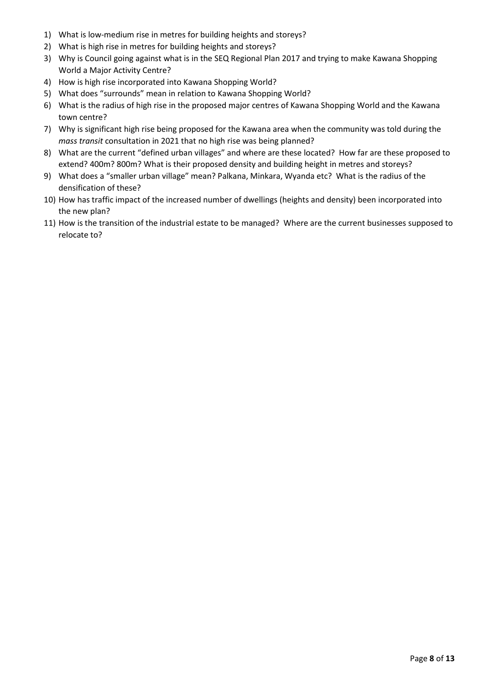- 1) What is low-medium rise in metres for building heights and storeys?
- 2) What is high rise in metres for building heights and storeys?
- 3) Why is Council going against what is in the SEQ Regional Plan 2017 and trying to make Kawana Shopping World a Major Activity Centre?
- 4) How is high rise incorporated into Kawana Shopping World?
- 5) What does "surrounds" mean in relation to Kawana Shopping World?
- 6) What is the radius of high rise in the proposed major centres of Kawana Shopping World and the Kawana town centre?
- 7) Why is significant high rise being proposed for the Kawana area when the community was told during the *mass transit* consultation in 2021 that no high rise was being planned?
- 8) What are the current "defined urban villages" and where are these located? How far are these proposed to extend? 400m? 800m? What is their proposed density and building height in metres and storeys?
- 9) What does a "smaller urban village" mean? Palkana, Minkara, Wyanda etc? What is the radius of the densification of these?
- 10) How has traffic impact of the increased number of dwellings (heights and density) been incorporated into the new plan?
- 11) How is the transition of the industrial estate to be managed? Where are the current businesses supposed to relocate to?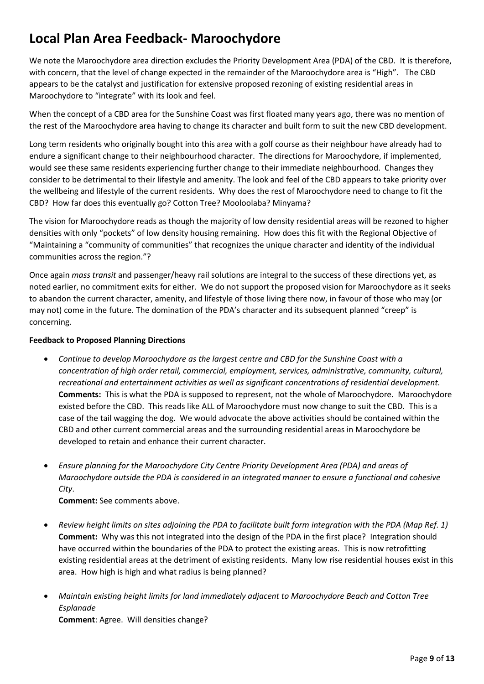# **Local Plan Area Feedback- Maroochydore**

We note the Maroochydore area direction excludes the Priority Development Area (PDA) of the CBD. It is therefore, with concern, that the level of change expected in the remainder of the Maroochydore area is "High". The CBD appears to be the catalyst and justification for extensive proposed rezoning of existing residential areas in Maroochydore to "integrate" with its look and feel.

When the concept of a CBD area for the Sunshine Coast was first floated many years ago, there was no mention of the rest of the Maroochydore area having to change its character and built form to suit the new CBD development.

Long term residents who originally bought into this area with a golf course as their neighbour have already had to endure a significant change to their neighbourhood character. The directions for Maroochydore, if implemented, would see these same residents experiencing further change to their immediate neighbourhood. Changes they consider to be detrimental to their lifestyle and amenity. The look and feel of the CBD appears to take priority over the wellbeing and lifestyle of the current residents. Why does the rest of Maroochydore need to change to fit the CBD? How far does this eventually go? Cotton Tree? Mooloolaba? Minyama?

The vision for Maroochydore reads as though the majority of low density residential areas will be rezoned to higher densities with only "pockets" of low density housing remaining. How does this fit with the Regional Objective of "Maintaining a "community of communities" that recognizes the unique character and identity of the individual communities across the region."?

Once again *mass transit* and passenger/heavy rail solutions are integral to the success of these directions yet, as noted earlier, no commitment exits for either. We do not support the proposed vision for Maroochydore as it seeks to abandon the current character, amenity, and lifestyle of those living there now, in favour of those who may (or may not) come in the future. The domination of the PDA's character and its subsequent planned "creep" is concerning.

### **Feedback to Proposed Planning Directions**

- *Continue to develop Maroochydore as the largest centre and CBD for the Sunshine Coast with a concentration of high order retail, commercial, employment, services, administrative, community, cultural, recreational and entertainment activities as well as significant concentrations of residential development.* **Comments:** This is what the PDA is supposed to represent, not the whole of Maroochydore. Maroochydore existed before the CBD. This reads like ALL of Maroochydore must now change to suit the CBD. This is a case of the tail wagging the dog. We would advocate the above activities should be contained within the CBD and other current commercial areas and the surrounding residential areas in Maroochydore be developed to retain and enhance their current character.
- *Ensure planning for the Maroochydore City Centre Priority Development Area (PDA) and areas of Maroochydore outside the PDA is considered in an integrated manner to ensure a functional and cohesive City*.

**Comment:** See comments above.

- *Review height limits on sites adjoining the PDA to facilitate built form integration with the PDA (Map Ref. 1)* **Comment:** Why was this not integrated into the design of the PDA in the first place? Integration should have occurred within the boundaries of the PDA to protect the existing areas. This is now retrofitting existing residential areas at the detriment of existing residents. Many low rise residential houses exist in this area. How high is high and what radius is being planned?
- *Maintain existing height limits for land immediately adjacent to Maroochydore Beach and Cotton Tree Esplanade* **Comment**: Agree. Will densities change?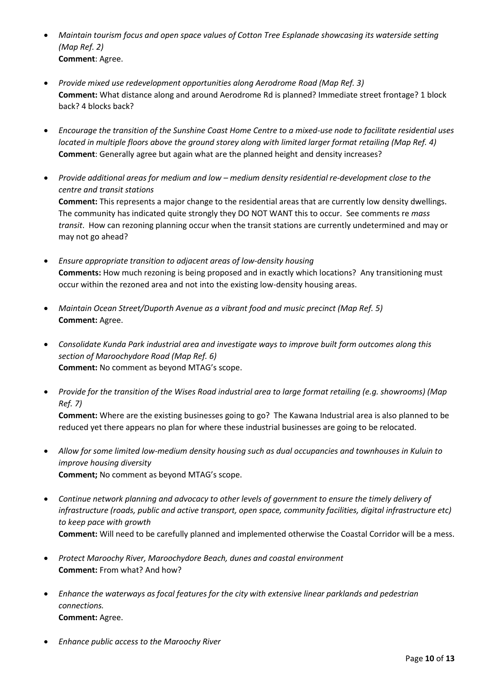- *Maintain tourism focus and open space values of Cotton Tree Esplanade showcasing its waterside setting (Map Ref. 2)* **Comment**: Agree.
- *Provide mixed use redevelopment opportunities along Aerodrome Road (Map Ref. 3)* **Comment:** What distance along and around Aerodrome Rd is planned? Immediate street frontage? 1 block back? 4 blocks back?
- *Encourage the transition of the Sunshine Coast Home Centre to a mixed-use node to facilitate residential uses located in multiple floors above the ground storey along with limited larger format retailing (Map Ref. 4)* **Comment**: Generally agree but again what are the planned height and density increases?
- *Provide additional areas for medium and low – medium density residential re-development close to the centre and transit stations* **Comment:** This represents a major change to the residential areas that are currently low density dwellings. The community has indicated quite strongly they DO NOT WANT this to occur. See comments re *mass transit*. How can rezoning planning occur when the transit stations are currently undetermined and may or may not go ahead?
- *Ensure appropriate transition to adjacent areas of low-density housing* **Comments:** How much rezoning is being proposed and in exactly which locations? Any transitioning must occur within the rezoned area and not into the existing low-density housing areas.
- *Maintain Ocean Street/Duporth Avenue as a vibrant food and music precinct (Map Ref. 5)* **Comment:** Agree.
- *Consolidate Kunda Park industrial area and investigate ways to improve built form outcomes along this section of Maroochydore Road (Map Ref. 6)* **Comment:** No comment as beyond MTAG's scope.
- *Provide for the transition of the Wises Road industrial area to large format retailing (e.g. showrooms) (Map Ref. 7)*

**Comment:** Where are the existing businesses going to go? The Kawana Industrial area is also planned to be reduced yet there appears no plan for where these industrial businesses are going to be relocated.

- *Allow for some limited low-medium density housing such as dual occupancies and townhouses in Kuluin to improve housing diversity* **Comment;** No comment as beyond MTAG's scope.
- *Continue network planning and advocacy to other levels of government to ensure the timely delivery of infrastructure (roads, public and active transport, open space, community facilities, digital infrastructure etc) to keep pace with growth* **Comment:** Will need to be carefully planned and implemented otherwise the Coastal Corridor will be a mess.
- *Protect Maroochy River, Maroochydore Beach, dunes and coastal environment* **Comment:** From what? And how?
- *Enhance the waterways as focal features for the city with extensive linear parklands and pedestrian connections.* **Comment:** Agree.
- *Enhance public access to the Maroochy River*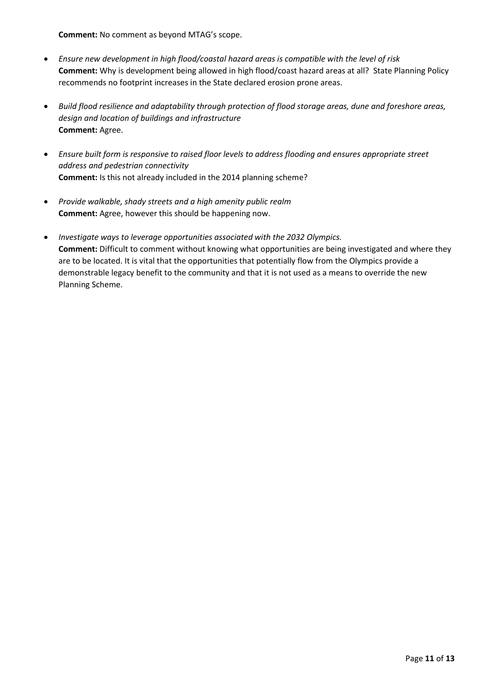**Comment:** No comment as beyond MTAG's scope.

- *Ensure new development in high flood/coastal hazard areas is compatible with the level of risk* **Comment:** Why is development being allowed in high flood/coast hazard areas at all? State Planning Policy recommends no footprint increases in the State declared erosion prone areas.
- *Build flood resilience and adaptability through protection of flood storage areas, dune and foreshore areas, design and location of buildings and infrastructure* **Comment:** Agree.
- *Ensure built form is responsive to raised floor levels to address flooding and ensures appropriate street address and pedestrian connectivity* **Comment:** Is this not already included in the 2014 planning scheme?
- *Provide walkable, shady streets and a high amenity public realm* **Comment:** Agree, however this should be happening now.
- *Investigate ways to leverage opportunities associated with the 2032 Olympics.* **Comment:** Difficult to comment without knowing what opportunities are being investigated and where they are to be located. It is vital that the opportunities that potentially flow from the Olympics provide a demonstrable legacy benefit to the community and that it is not used as a means to override the new Planning Scheme.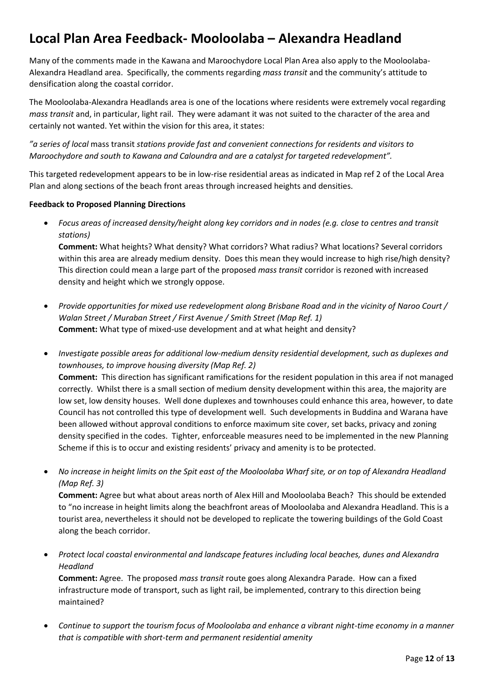# **Local Plan Area Feedback- Mooloolaba – Alexandra Headland**

Many of the comments made in the Kawana and Maroochydore Local Plan Area also apply to the Mooloolaba-Alexandra Headland area. Specifically, the comments regarding *mass transit* and the community's attitude to densification along the coastal corridor.

The Mooloolaba-Alexandra Headlands area is one of the locations where residents were extremely vocal regarding *mass transit* and, in particular, light rail. They were adamant it was not suited to the character of the area and certainly not wanted. Yet within the vision for this area, it states:

*"a series of local* mass transit *stations provide fast and convenient connections for residents and visitors to Maroochydore and south to Kawana and Caloundra and are a catalyst for targeted redevelopment".* 

This targeted redevelopment appears to be in low-rise residential areas as indicated in Map ref 2 of the Local Area Plan and along sections of the beach front areas through increased heights and densities.

### **Feedback to Proposed Planning Directions**

• *Focus areas of increased density/height along key corridors and in nodes (e.g. close to centres and transit stations)*

**Comment:** What heights? What density? What corridors? What radius? What locations? Several corridors within this area are already medium density. Does this mean they would increase to high rise/high density? This direction could mean a large part of the proposed *mass transit* corridor is rezoned with increased density and height which we strongly oppose.

• *Provide opportunities for mixed use redevelopment along Brisbane Road and in the vicinity of Naroo Court / Walan Street / Muraban Street / First Avenue / Smith Street (Map Ref. 1)* **Comment:** What type of mixed-use development and at what height and density?

• *Investigate possible areas for additional low-medium density residential development, such as duplexes and townhouses, to improve housing diversity (Map Ref. 2)* **Comment:** This direction has significant ramifications for the resident population in this area if not managed correctly. Whilst there is a small section of medium density development within this area, the majority are low set, low density houses. Well done duplexes and townhouses could enhance this area, however, to date Council has not controlled this type of development well. Such developments in Buddina and Warana have been allowed without approval conditions to enforce maximum site cover, set backs, privacy and zoning density specified in the codes. Tighter, enforceable measures need to be implemented in the new Planning Scheme if this is to occur and existing residents' privacy and amenity is to be protected.

• *No increase in height limits on the Spit east of the Mooloolaba Wharf site, or on top of Alexandra Headland (Map Ref. 3)*

**Comment:** Agree but what about areas north of Alex Hill and Mooloolaba Beach? This should be extended to "no increase in height limits along the beachfront areas of Mooloolaba and Alexandra Headland. This is a tourist area, nevertheless it should not be developed to replicate the towering buildings of the Gold Coast along the beach corridor.

• *Protect local coastal environmental and landscape features including local beaches, dunes and Alexandra Headland*

**Comment:** Agree. The proposed *mass transit* route goes along Alexandra Parade. How can a fixed infrastructure mode of transport, such as light rail, be implemented, contrary to this direction being maintained?

• *Continue to support the tourism focus of Mooloolaba and enhance a vibrant night-time economy in a manner that is compatible with short-term and permanent residential amenity*